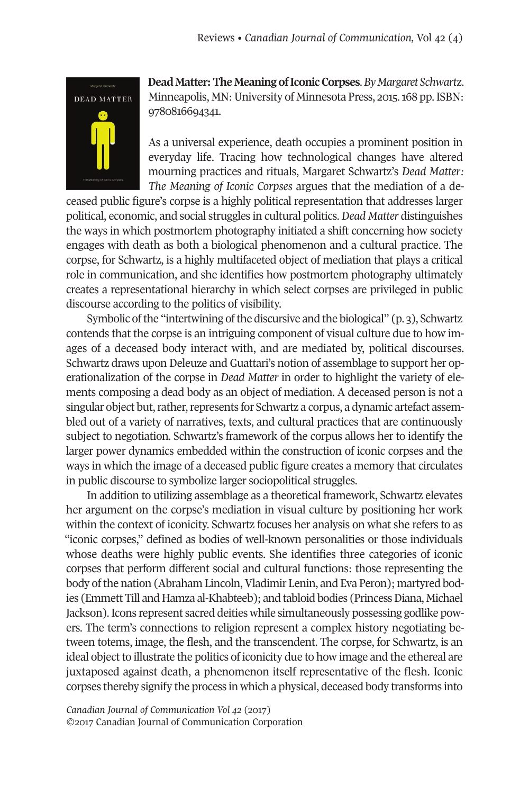

**Dead Matter: The Meaning of Iconic Corpses**. By Margaret Schwartz. Minneapolis, MN: University of Minnesota Press, 2015. 168 pp. ISBN: 9780816694341.

As a universal experience, death occupies a prominent position in everyday life. Tracing how technological changes have altered mourning practices and rituals, Margaret Schwartz's *Dead Matter: The Meaning of Iconic Corpses* argues that the mediation of a de-

ceased public figure's corpse is a highly political representation that addresses larger political, economic, and social struggles in cultural politics. *Dead Matter* distinguishes the ways in which postmortem photography initiated a shift concerning how society engages with death as both a biological phenomenon and a cultural practice. The corpse, for Schwartz, is a highly multifaceted object of mediation that plays a critical role in communication, and she identifies how postmortem photography ultimately creates a representational hierarchy in which select corpses are privileged in public discourse according to the politics of visibility.

Symbolic of the "intertwining of the discursive and the biological" (p. 3), Schwartz contends that the corpse is an intriguing component of visual culture due to how images of a deceased body interact with, and are mediated by, political discourses. Schwartz draws upon Deleuze and Guattari's notion of assemblage to support her operationalization of the corpse in *Dead Matter* in order to highlight the variety of elements composing a dead body as an object of mediation. A deceased person is not a singular object but, rather, represents for Schwartz a corpus, a dynamic artefact assembled out of a variety of narratives, texts, and cultural practices that are continuously subject to negotiation. Schwartz's framework of the corpus allows her to identify the larger power dynamics embedded within the construction of iconic corpses and the ways in which the image of a deceased public figure creates a memory that circulates in public discourse to symbolize larger sociopolitical struggles.

In addition to utilizing assemblage as a theoretical framework, Schwartz elevates her argument on the corpse's mediation in visual culture by positioning her work within the context of iconicity. Schwartz focuses her analysis on what she refers to as "iconic corpses," defined as bodies of well-known personalities or those individuals whose deaths were highly public events. She identifies three categories of iconic corpses that perform different social and cultural functions: those representing the body of the nation (Abraham Lincoln, Vladimir Lenin, and Eva Peron); martyred bodies (Emmett Till and Hamza al-Khabteeb); and tabloid bodies (PrincessDiana, Michael Jackson). Icons represent sacred deities while simultaneously possessing godlike powers. The term's connections to religion represent a complex history negotiating between totems, image, the flesh, and the transcendent. The corpse, for Schwartz, is an ideal object to illustrate the politics of iconicity due to how image and the ethereal are juxtaposed against death, a phenomenon itself representative of the flesh. Iconic corpses thereby signify the process in which a physical, deceased body transforms into

*Canadian Journal of [Communication](http://www.cjc-online.ca) Vol 42* (2017) ©2017 Canadian Journal of Communication Corporation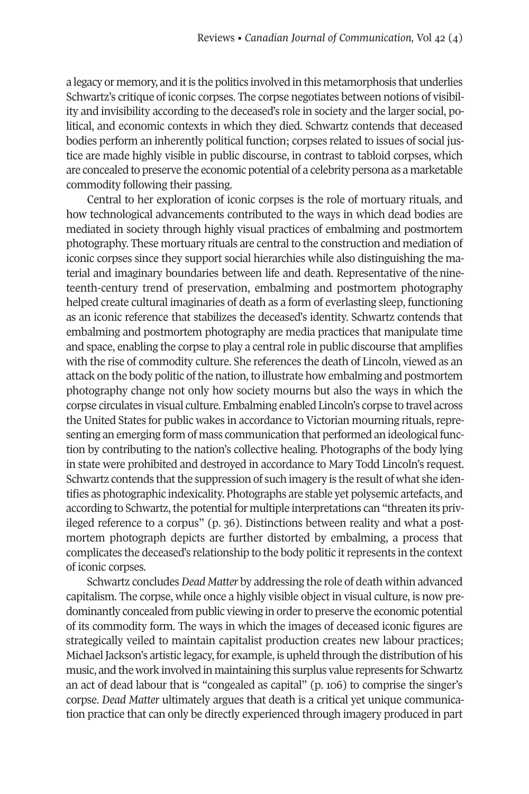a legacy or memory, and itis the politics involved in this metamorphosis that underlies Schwartz's critique of iconic corpses. The corpse negotiates between notions of visibility and invisibility according to the deceased's role in society and the larger social, political, and economic contexts in which they died. Schwartz contends that deceased bodies perform an inherently political function; corpses related to issues of social justice are made highly visible in public discourse, in contrast to tabloid corpses, which are concealed to preserve the economic potential of a celebrity persona as a marketable commodity following their passing.

Central to her exploration of iconic corpses is the role of mortuary rituals, and how technological advancements contributed to the ways in which dead bodies are mediated in society through highly visual practices of embalming and postmortem photography. These mortuary rituals are central to the construction and mediation of iconic corpses since they support social hierarchies while also distinguishing the material and imaginary boundaries between life and death. Representative of thenineteenth-century trend of preservation, embalming and postmortem photography helped create cultural imaginaries of death as a form of everlasting sleep, functioning as an iconic reference that stabilizes the deceased's identity. Schwartz contends that embalming and postmortem photography are media practices that manipulate time and space, enabling the corpse to play a central role in public discourse that amplifies with the rise of commodity culture. She references the death of Lincoln, viewed as an attack on the body politic of the nation, to illustrate how embalming and postmortem photography change not only how society mourns but also the ways in which the corpse circulates in visual culture. Embalming enabled Lincoln's corpse to travel across the United States for public wakes in accordance to Victorian mourning rituals, representing an emerging form of mass communication that performed an ideological function by contributing to the nation's collective healing. Photographs of the body lying in state were prohibited and destroyed in accordance to Mary Todd Lincoln's request. Schwartz contends that the suppression of such imagery is the result of what she identifies as photographic indexicality. Photographs are stable yet polysemic artefacts, and according to Schwartz, the potential for multiple interpretations can "threaten its privileged reference to a corpus" (p. 36). Distinctions between reality and what a postmortem photograph depicts are further distorted by embalming, a process that complicates the deceased's relationship to the body politic itrepresents in the context of iconic corpses.

Schwartz concludes*Dead Matter* by addressing the role of death within advanced capitalism. The corpse, while once a highly visible object in visual culture, is now predominantly concealed from public viewing in orderto preserve the economic potential of its commodity form. The ways in which the images of deceased iconic figures are strategically veiled to maintain capitalist production creates new labour practices; MichaelJackson's artistic legacy, for example, is upheld through the distribution of his music, and the work involved in maintaining this surplus value represents for Schwartz an act of dead labour that is "congealed as capital" (p. 106) to comprise the singer's corpse. *Dead Matter* ultimately argues that death is a critical yet unique communication practice that can only be directly experienced through imagery produced in part